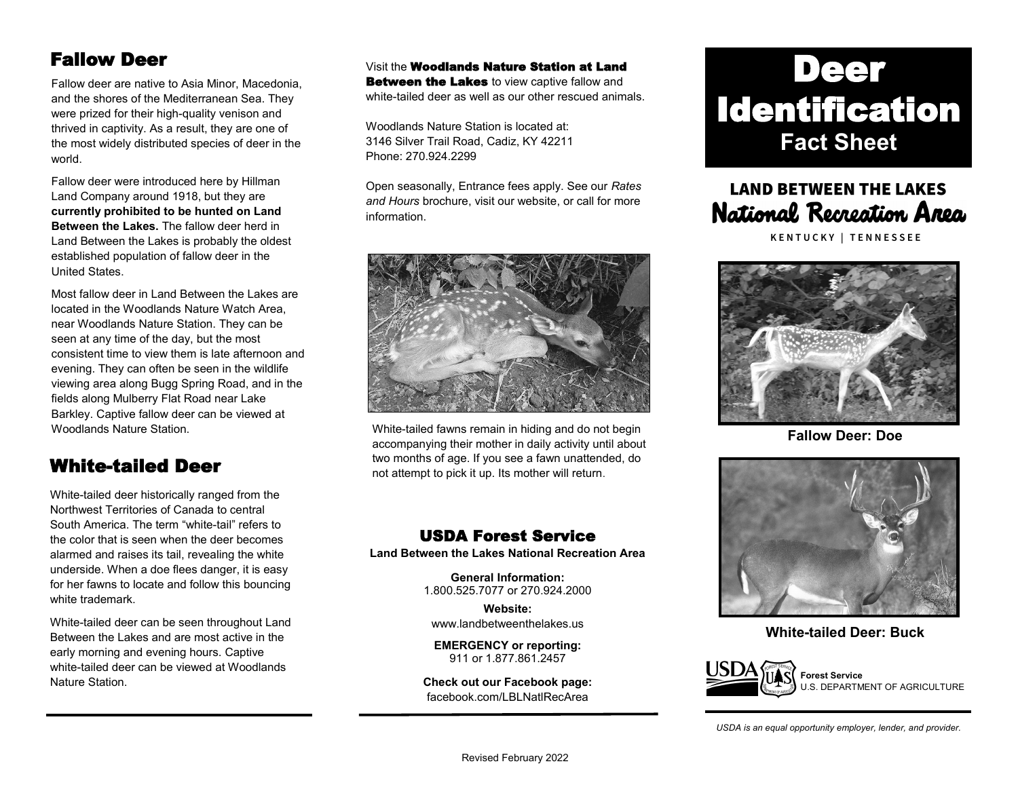### Fallow Deer

Fallow deer are native to Asia Minor, Macedonia, and the shores of the Mediterranean Sea. They were prized for their high-quality venison and thrived in captivity. As a result, they are one of the most widely distributed species of deer in the world.

Fallow deer were introduced here by Hillman Land Company around 1918, but they are **currently prohibited to be hunted on Land Between the Lakes.** The fallow deer herd in Land Between the Lakes is probably the oldest established population of fallow deer in the United States.

Most fallow deer in Land Between the Lakes are located in the Woodlands Nature Watch Area, near Woodlands Nature Station. They can be seen at any time of the day, but the most consistent time to view them is late afternoon and evening. They can often be seen in the wildlife viewing area along Bugg Spring Road, and in the fields along Mulberry Flat Road near Lake Barkley. Captive fallow deer can be viewed at Woodlands Nature Station.

### White-tailed Deer

White-tailed deer historically ranged from the Northwest Territories of Canada to central South America. The term "white-tail" refers to the color that is seen when the deer becomes alarmed and raises its tail, revealing the white underside. When a doe flees danger, it is easy for her fawns to locate and follow this bouncing white trademark.

White-tailed deer can be seen throughout Land Between the Lakes and are most active in the early morning and evening hours. Captive white-tailed deer can be viewed at Woodlands Nature Station.

Visit the Woodlands Nature Station at Land **Between the Lakes** to view captive fallow and white-tailed deer as well as our other rescued animals.

Woodlands Nature Station is located at: 3146 Silver Trail Road, Cadiz, KY 42211 Phone: 270.924.2299

Open seasonally, Entrance fees apply. See our *Rates and Hours* brochure, visit our website, or call for more information.



White-tailed fawns remain in hiding and do not begin accompanying their mother in daily activity until about two months of age. If you see a fawn unattended, do not attempt to pick it up. Its mother will return.

#### USDA Forest Service

**Land Between the Lakes National Recreation Area**

**General Information:** 1.800.525.7077 or 270.924.2000

**Website:** [www.landbetweenthelakes.us](http://www.landbetweenthelakes.us)

**EMERGENCY or reporting:**  911 or 1.877.861.2457

**Check out our Facebook page:** f[acebook.com/LBLNatlRecArea](http://www.facebook.com/FriendsofLandBetweenTheLakes)

# Deer Identification **Fact Sheet**

## **LAND BETWEEN THE LAKES** National Recreation Area

KENTUCKY | TENNESSEE



**Fallow Deer: Doe**



**White-tailed Deer: Buck**



**Forest Service** U.S. DEPARTMENT OF AGRICULTURE

*USDA is an equal opportunity employer, lender, and provider.*